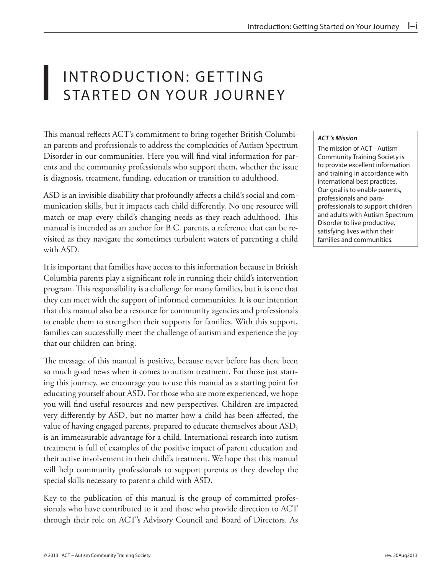## INTRODUCTION: GETTING<br>STARTED ON YOUR JOURN STARTED ON YOUR JOURNEY

This manual reflects ACT's commitment to bring together British Columbian parents and professionals to address the complexities of Autism Spectrum Disorder in our communities. Here you will find vital information for parents and the community professionals who support them, whether the issue is diagnosis, treatment, funding, education or transition to adulthood.

ASD is an invisible disability that profoundly affects a child's social and communication skills, but it impacts each child differently. No one resource will match or map every child's changing needs as they reach adulthood. This manual is intended as an anchor for B.C. parents, a reference that can be revisited as they navigate the sometimes turbulent waters of parenting a child with ASD.

It is important that families have access to this information because in British Columbia parents play a significant role in running their child's intervention program. This responsibility is a challenge for many families, but it is one that they can meet with the support of informed communities. It is our intention that this manual also be a resource for community agencies and professionals to enable them to strengthen their supports for families. With this support, families can successfully meet the challenge of autism and experience the joy that our children can bring.

The message of this manual is positive, because never before has there been so much good news when it comes to autism treatment. For those just starting this journey, we encourage you to use this manual as a starting point for educating yourself about ASD. For those who are more experienced, we hope you will find useful resources and new perspectives. Children are impacted very differently by ASD, but no matter how a child has been affected, the value of having engaged parents, prepared to educate themselves about ASD, is an immeasurable advantage for a child. International research into autism treatment is full of examples of the positive impact of parent education and their active involvement in their child's treatment. We hope that this manual will help community professionals to support parents as they develop the special skills necessary to parent a child with ASD.

Key to the publication of this manual is the group of committed professionals who have contributed to it and those who provide direction to ACT through their role on ACT's Advisory Council and Board of Directors. As

## *ACT 's Mission*

The mission of ACT–Autism Community Training Society is to provide excellent information and training in accordance with international best practices. Our goal is to enable parents, professionals and paraprofessionals to support children and adults with Autism Spectrum Disorder to live productive, satisfying lives within their families and communities.